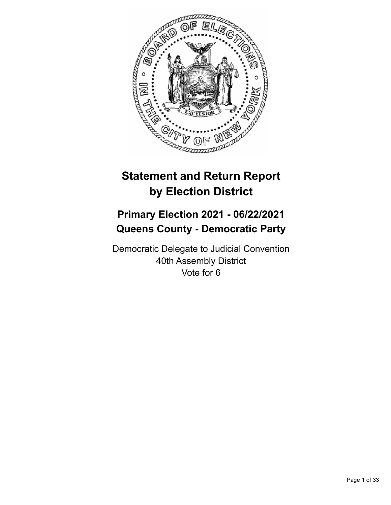

# **Statement and Return Report by Election District**

# **Primary Election 2021 - 06/22/2021 Queens County - Democratic Party**

Democratic Delegate to Judicial Convention 40th Assembly District Vote for 6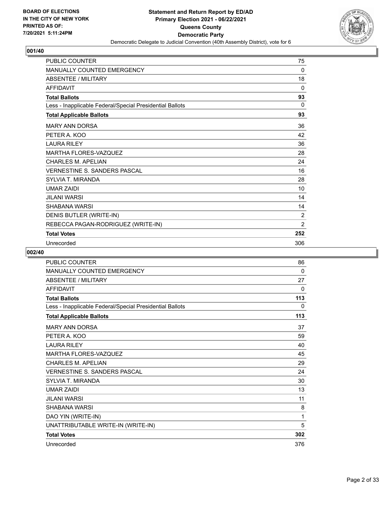

| PUBLIC COUNTER                                           | 75             |
|----------------------------------------------------------|----------------|
| <b>MANUALLY COUNTED EMERGENCY</b>                        | 0              |
| <b>ABSENTEE / MILITARY</b>                               | 18             |
| <b>AFFIDAVIT</b>                                         | 0              |
| <b>Total Ballots</b>                                     | 93             |
| Less - Inapplicable Federal/Special Presidential Ballots | $\Omega$       |
| <b>Total Applicable Ballots</b>                          | 93             |
| <b>MARY ANN DORSA</b>                                    | 36             |
| PETER A. KOO                                             | 42             |
| <b>LAURA RILEY</b>                                       | 36             |
| <b>MARTHA FLORES-VAZQUEZ</b>                             | 28             |
| <b>CHARLES M. APELIAN</b>                                | 24             |
| <b>VERNESTINE S. SANDERS PASCAL</b>                      | 16             |
| <b>SYLVIA T. MIRANDA</b>                                 | 28             |
| <b>UMAR ZAIDI</b>                                        | 10             |
| <b>JILANI WARSI</b>                                      | 14             |
| <b>SHABANA WARSI</b>                                     | 14             |
| DENIS BUTLER (WRITE-IN)                                  | 2              |
| REBECCA PAGAN-RODRIGUEZ (WRITE-IN)                       | $\overline{2}$ |
| <b>Total Votes</b>                                       | 252            |
| Unrecorded                                               | 306            |

| PUBLIC COUNTER                                           | 86  |
|----------------------------------------------------------|-----|
| <b>MANUALLY COUNTED EMERGENCY</b>                        | 0   |
| <b>ABSENTEE / MILITARY</b>                               | 27  |
| <b>AFFIDAVIT</b>                                         | 0   |
| <b>Total Ballots</b>                                     | 113 |
| Less - Inapplicable Federal/Special Presidential Ballots | 0   |
| <b>Total Applicable Ballots</b>                          | 113 |
| <b>MARY ANN DORSA</b>                                    | 37  |
| PETER A. KOO                                             | 59  |
| <b>LAURA RILEY</b>                                       | 40  |
| MARTHA FLORES-VAZQUEZ                                    | 45  |
| <b>CHARLES M. APELIAN</b>                                | 29  |
| <b>VERNESTINE S. SANDERS PASCAL</b>                      | 24  |
| <b>SYLVIA T. MIRANDA</b>                                 | 30  |
| <b>UMAR ZAIDI</b>                                        | 13  |
| <b>JILANI WARSI</b>                                      | 11  |
| <b>SHABANA WARSI</b>                                     | 8   |
| DAO YIN (WRITE-IN)                                       | 1   |
| UNATTRIBUTABLE WRITE-IN (WRITE-IN)                       | 5   |
| <b>Total Votes</b>                                       | 302 |
| Unrecorded                                               | 376 |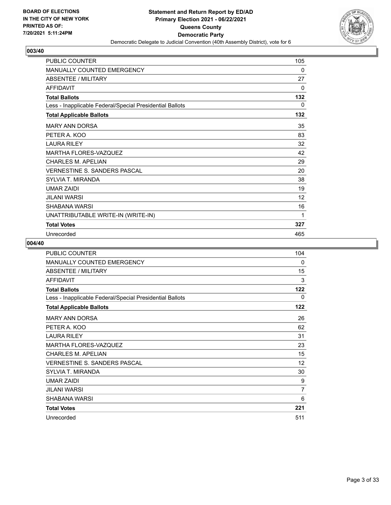

| <b>PUBLIC COUNTER</b>                                    | 105 |
|----------------------------------------------------------|-----|
| <b>MANUALLY COUNTED EMERGENCY</b>                        | 0   |
| <b>ABSENTEE / MILITARY</b>                               | 27  |
| <b>AFFIDAVIT</b>                                         | 0   |
| <b>Total Ballots</b>                                     | 132 |
| Less - Inapplicable Federal/Special Presidential Ballots | 0   |
| <b>Total Applicable Ballots</b>                          | 132 |
| <b>MARY ANN DORSA</b>                                    | 35  |
| PETER A. KOO                                             | 83  |
| <b>LAURA RILEY</b>                                       | 32  |
| <b>MARTHA FLORES-VAZQUEZ</b>                             | 42  |
| <b>CHARLES M. APELIAN</b>                                | 29  |
| <b>VERNESTINE S. SANDERS PASCAL</b>                      | 20  |
| SYLVIA T. MIRANDA                                        | 38  |
| <b>UMAR ZAIDI</b>                                        | 19  |
| JILANI WARSI                                             | 12  |
| <b>SHABANA WARSI</b>                                     | 16  |
| UNATTRIBUTABLE WRITE-IN (WRITE-IN)                       | 1   |
| <b>Total Votes</b>                                       | 327 |
| Unrecorded                                               | 465 |

| <b>PUBLIC COUNTER</b>                                    | 104 |
|----------------------------------------------------------|-----|
| <b>MANUALLY COUNTED EMERGENCY</b>                        | 0   |
| ABSENTEE / MILITARY                                      | 15  |
| <b>AFFIDAVIT</b>                                         | 3   |
| <b>Total Ballots</b>                                     | 122 |
| Less - Inapplicable Federal/Special Presidential Ballots | 0   |
| <b>Total Applicable Ballots</b>                          | 122 |
| <b>MARY ANN DORSA</b>                                    | 26  |
| PETER A. KOO                                             | 62  |
| <b>LAURA RILEY</b>                                       | 31  |
| <b>MARTHA FLORES-VAZQUEZ</b>                             | 23  |
| <b>CHARLES M. APELIAN</b>                                | 15  |
| <b>VERNESTINE S. SANDERS PASCAL</b>                      | 12  |
| SYLVIA T. MIRANDA                                        | 30  |
| <b>UMAR ZAIDI</b>                                        | 9   |
| <b>JILANI WARSI</b>                                      | 7   |
| SHABANA WARSI                                            | 6   |
| <b>Total Votes</b>                                       | 221 |
| Unrecorded                                               | 511 |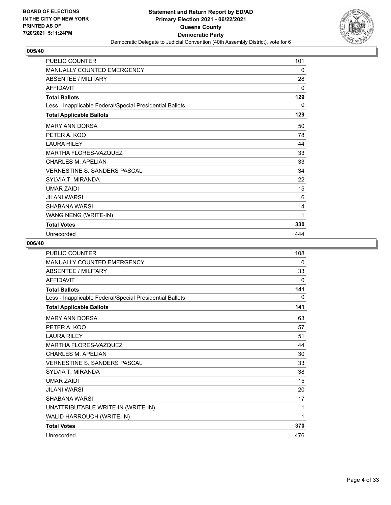

| <b>PUBLIC COUNTER</b>                                    | 101 |
|----------------------------------------------------------|-----|
| MANUALLY COUNTED EMERGENCY                               | 0   |
| ABSENTEE / MILITARY                                      | 28  |
| <b>AFFIDAVIT</b>                                         | 0   |
| <b>Total Ballots</b>                                     | 129 |
| Less - Inapplicable Federal/Special Presidential Ballots | 0   |
| <b>Total Applicable Ballots</b>                          | 129 |
| <b>MARY ANN DORSA</b>                                    | 50  |
| PETER A. KOO                                             | 78  |
| <b>LAURA RILEY</b>                                       | 44  |
| MARTHA FLORES-VAZQUEZ                                    | 33  |
| <b>CHARLES M. APELIAN</b>                                | 33  |
| <b>VERNESTINE S. SANDERS PASCAL</b>                      | 34  |
| SYLVIA T. MIRANDA                                        | 22  |
| <b>UMAR ZAIDI</b>                                        | 15  |
| <b>JILANI WARSI</b>                                      | 6   |
| <b>SHABANA WARSI</b>                                     | 14  |
| WANG NENG (WRITE-IN)                                     | 1   |
| <b>Total Votes</b>                                       | 330 |
| Unrecorded                                               | 444 |

| <b>PUBLIC COUNTER</b>                                    | 108      |
|----------------------------------------------------------|----------|
| <b>MANUALLY COUNTED EMERGENCY</b>                        | 0        |
| <b>ABSENTEE / MILITARY</b>                               | 33       |
| <b>AFFIDAVIT</b>                                         | 0        |
| <b>Total Ballots</b>                                     | 141      |
| Less - Inapplicable Federal/Special Presidential Ballots | $\Omega$ |
| <b>Total Applicable Ballots</b>                          | 141      |
| <b>MARY ANN DORSA</b>                                    | 63       |
| PETER A. KOO                                             | 57       |
| <b>LAURA RILEY</b>                                       | 51       |
| MARTHA FLORES-VAZQUEZ                                    | 44       |
| CHARI FS M. APFI IAN                                     | 30       |
| VERNESTINE S. SANDERS PASCAL                             | 33       |
| <b>SYLVIA T. MIRANDA</b>                                 | 38       |
| <b>UMAR ZAIDI</b>                                        | 15       |
| <b>JII ANI WARSI</b>                                     | 20       |
| SHABANA WARSI                                            | 17       |
| UNATTRIBUTABLE WRITE-IN (WRITE-IN)                       | 1        |
| WALID HARROUCH (WRITE-IN)                                | 1        |
| <b>Total Votes</b>                                       | 370      |
| Unrecorded                                               | 476      |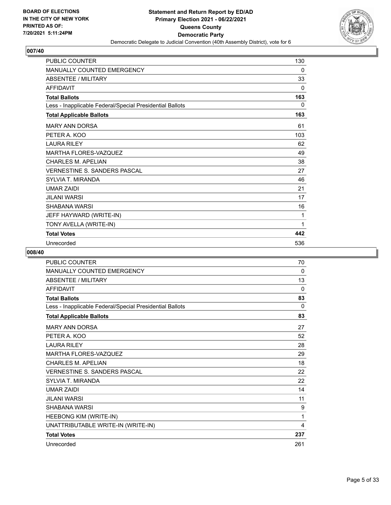

| <b>PUBLIC COUNTER</b>                                    | 130 |
|----------------------------------------------------------|-----|
| MANUALLY COUNTED EMERGENCY                               | 0   |
| <b>ABSENTEE / MILITARY</b>                               | 33  |
| <b>AFFIDAVIT</b>                                         | 0   |
| <b>Total Ballots</b>                                     | 163 |
| Less - Inapplicable Federal/Special Presidential Ballots | 0   |
| <b>Total Applicable Ballots</b>                          | 163 |
| <b>MARY ANN DORSA</b>                                    | 61  |
| PETER A. KOO                                             | 103 |
| <b>LAURA RILEY</b>                                       | 62  |
| <b>MARTHA FLORES-VAZQUEZ</b>                             | 49  |
| <b>CHARLES M. APELIAN</b>                                | 38  |
| <b>VERNESTINE S. SANDERS PASCAL</b>                      | 27  |
| <b>SYLVIA T. MIRANDA</b>                                 | 46  |
| <b>UMAR ZAIDI</b>                                        | 21  |
| <b>JILANI WARSI</b>                                      | 17  |
| SHABANA WARSI                                            | 16  |
| JEFF HAYWARD (WRITE-IN)                                  | 1   |
| TONY AVELLA (WRITE-IN)                                   | 1   |
| <b>Total Votes</b>                                       | 442 |
| Unrecorded                                               | 536 |

| PUBLIC COUNTER                                           | 70       |
|----------------------------------------------------------|----------|
| <b>MANUALLY COUNTED EMERGENCY</b>                        | 0        |
| <b>ABSENTEE / MILITARY</b>                               | 13       |
| <b>AFFIDAVIT</b>                                         | $\Omega$ |
| <b>Total Ballots</b>                                     | 83       |
| Less - Inapplicable Federal/Special Presidential Ballots | $\Omega$ |
| <b>Total Applicable Ballots</b>                          | 83       |
| <b>MARY ANN DORSA</b>                                    | 27       |
| PETER A. KOO                                             | 52       |
| <b>LAURA RILEY</b>                                       | 28       |
| MARTHA FLORES-VAZQUEZ                                    | 29       |
| <b>CHARLES M. APELIAN</b>                                | 18       |
| <b>VERNESTINE S. SANDERS PASCAL</b>                      | 22       |
| <b>SYLVIA T. MIRANDA</b>                                 | 22       |
| <b>UMAR ZAIDI</b>                                        | 14       |
| <b>JILANI WARSI</b>                                      | 11       |
| <b>SHABANA WARSI</b>                                     | 9        |
| HEEBONG KIM (WRITE-IN)                                   | 1        |
| UNATTRIBUTABLE WRITE-IN (WRITE-IN)                       | 4        |
| <b>Total Votes</b>                                       | 237      |
| Unrecorded                                               | 261      |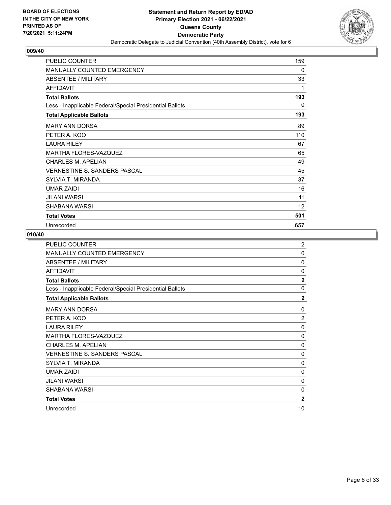

| PUBLIC COUNTER                                           | 159 |
|----------------------------------------------------------|-----|
| <b>MANUALLY COUNTED EMERGENCY</b>                        | 0   |
| ABSENTEE / MILITARY                                      | 33  |
| <b>AFFIDAVIT</b>                                         | 1   |
| <b>Total Ballots</b>                                     | 193 |
| Less - Inapplicable Federal/Special Presidential Ballots | 0   |
| <b>Total Applicable Ballots</b>                          | 193 |
| <b>MARY ANN DORSA</b>                                    | 89  |
| PETER A. KOO                                             | 110 |
| <b>LAURA RILEY</b>                                       | 67  |
| MARTHA FLORES-VAZQUEZ                                    | 65  |
| <b>CHARLES M. APELIAN</b>                                | 49  |
| <b>VERNESTINE S. SANDERS PASCAL</b>                      | 45  |
| SYLVIA T. MIRANDA                                        | 37  |
| <b>UMAR ZAIDI</b>                                        | 16  |
| JILANI WARSI                                             | 11  |
| SHABANA WARSI                                            | 12  |
| <b>Total Votes</b>                                       | 501 |
| Unrecorded                                               | 657 |

| <b>PUBLIC COUNTER</b>                                    | $\overline{c}$ |
|----------------------------------------------------------|----------------|
| <b>MANUALLY COUNTED EMERGENCY</b>                        | 0              |
| ABSENTEE / MILITARY                                      | $\Omega$       |
| <b>AFFIDAVIT</b>                                         | 0              |
| <b>Total Ballots</b>                                     | $\overline{2}$ |
| Less - Inapplicable Federal/Special Presidential Ballots | 0              |
| <b>Total Applicable Ballots</b>                          | $\mathbf{2}$   |
| <b>MARY ANN DORSA</b>                                    | 0              |
| PETER A. KOO                                             | $\overline{2}$ |
| <b>LAURA RILEY</b>                                       | $\mathbf{0}$   |
| <b>MARTHA FLORES-VAZQUEZ</b>                             | 0              |
| <b>CHARLES M. APELIAN</b>                                | $\Omega$       |
| <b>VERNESTINE S. SANDERS PASCAL</b>                      | 0              |
| SYLVIA T. MIRANDA                                        | 0              |
| UMAR ZAIDI                                               | 0              |
| <b>JILANI WARSI</b>                                      | $\mathbf{0}$   |
| SHABANA WARSI                                            | $\mathbf{0}$   |
| <b>Total Votes</b>                                       | $\overline{2}$ |
| Unrecorded                                               | 10             |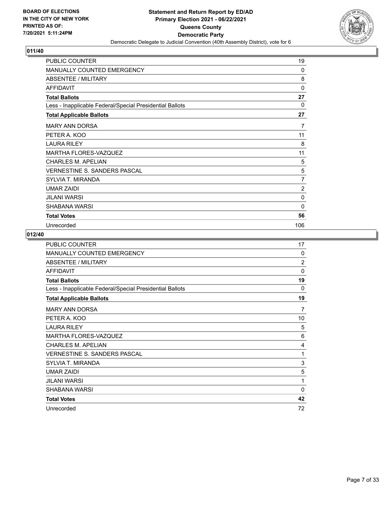

| <b>PUBLIC COUNTER</b>                                    | 19             |
|----------------------------------------------------------|----------------|
| MANUALLY COUNTED EMERGENCY                               | 0              |
| ABSENTEE / MILITARY                                      | 8              |
| <b>AFFIDAVIT</b>                                         | 0              |
| <b>Total Ballots</b>                                     | 27             |
| Less - Inapplicable Federal/Special Presidential Ballots | $\Omega$       |
| <b>Total Applicable Ballots</b>                          | 27             |
| <b>MARY ANN DORSA</b>                                    | 7              |
| PETER A. KOO                                             | 11             |
| <b>LAURA RILEY</b>                                       | 8              |
| MARTHA FLORES-VAZQUEZ                                    | 11             |
| <b>CHARLES M. APELIAN</b>                                | 5              |
| <b>VERNESTINE S. SANDERS PASCAL</b>                      | 5              |
| SYLVIA T. MIRANDA                                        | 7              |
| <b>UMAR ZAIDI</b>                                        | $\overline{2}$ |
| JILANI WARSI                                             | 0              |
| SHABANA WARSI                                            | $\mathbf{0}$   |
| <b>Total Votes</b>                                       | 56             |
| Unrecorded                                               | 106            |

| <b>PUBLIC COUNTER</b>                                    | 17             |
|----------------------------------------------------------|----------------|
| <b>MANUALLY COUNTED EMERGENCY</b>                        | $\Omega$       |
| ABSENTEE / MILITARY                                      | $\overline{2}$ |
| <b>AFFIDAVIT</b>                                         | $\Omega$       |
| <b>Total Ballots</b>                                     | 19             |
| Less - Inapplicable Federal/Special Presidential Ballots | 0              |
| <b>Total Applicable Ballots</b>                          | 19             |
| <b>MARY ANN DORSA</b>                                    | 7              |
| PETER A. KOO                                             | 10             |
| <b>LAURA RILEY</b>                                       | 5              |
| <b>MARTHA FLORES-VAZQUEZ</b>                             | 6              |
| <b>CHARLES M. APELIAN</b>                                | 4              |
| <b>VERNESTINE S. SANDERS PASCAL</b>                      | 1              |
| SYLVIA T. MIRANDA                                        | 3              |
| UMAR ZAIDI                                               | 5              |
| <b>JILANI WARSI</b>                                      | 1              |
| SHABANA WARSI                                            | $\Omega$       |
| <b>Total Votes</b>                                       | 42             |
| Unrecorded                                               | 72             |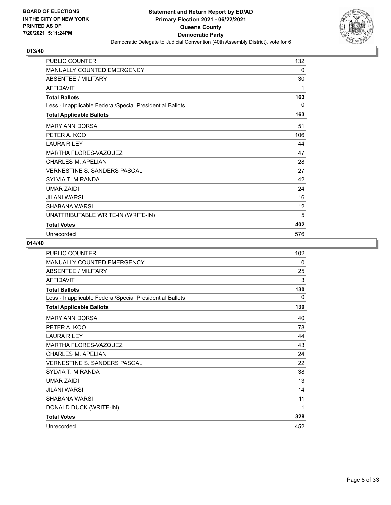

| <b>PUBLIC COUNTER</b>                                    | 132 |
|----------------------------------------------------------|-----|
| <b>MANUALLY COUNTED EMERGENCY</b>                        | 0   |
| ABSENTEE / MILITARY                                      | 30  |
| <b>AFFIDAVIT</b>                                         | 1   |
| <b>Total Ballots</b>                                     | 163 |
| Less - Inapplicable Federal/Special Presidential Ballots | 0   |
| <b>Total Applicable Ballots</b>                          | 163 |
| <b>MARY ANN DORSA</b>                                    | 51  |
| PETER A. KOO                                             | 106 |
| <b>LAURA RILEY</b>                                       | 44  |
| <b>MARTHA FLORES-VAZQUEZ</b>                             | 47  |
| <b>CHARLES M. APELIAN</b>                                | 28  |
| VERNESTINE S. SANDERS PASCAL                             | 27  |
| SYLVIA T. MIRANDA                                        | 42  |
| <b>UMAR ZAIDI</b>                                        | 24  |
| JILANI WARSI                                             | 16  |
| SHABANA WARSI                                            | 12  |
| UNATTRIBUTABLE WRITE-IN (WRITE-IN)                       | 5   |
| <b>Total Votes</b>                                       | 402 |
| Unrecorded                                               | 576 |

| <b>PUBLIC COUNTER</b>                                    | 102 |
|----------------------------------------------------------|-----|
| <b>MANUALLY COUNTED EMERGENCY</b>                        | 0   |
| ABSENTEE / MILITARY                                      | 25  |
| <b>AFFIDAVIT</b>                                         | 3   |
| <b>Total Ballots</b>                                     | 130 |
| Less - Inapplicable Federal/Special Presidential Ballots | 0   |
| <b>Total Applicable Ballots</b>                          | 130 |
| <b>MARY ANN DORSA</b>                                    | 40  |
| PETER A. KOO                                             | 78  |
| <b>LAURA RILEY</b>                                       | 44  |
| MARTHA FLORES-VAZQUEZ                                    | 43  |
| <b>CHARLES M. APELIAN</b>                                | 24  |
| <b>VERNESTINE S. SANDERS PASCAL</b>                      | 22  |
| SYLVIA T. MIRANDA                                        | 38  |
| UMAR ZAIDI                                               | 13  |
| <b>JILANI WARSI</b>                                      | 14  |
| SHABANA WARSI                                            | 11  |
| DONALD DUCK (WRITE-IN)                                   | 1   |
| <b>Total Votes</b>                                       | 328 |
| Unrecorded                                               | 452 |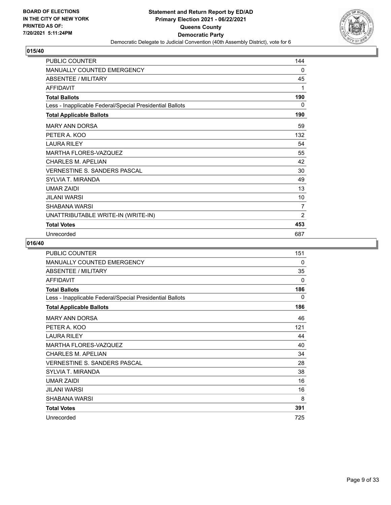

| <b>PUBLIC COUNTER</b>                                    | 144            |
|----------------------------------------------------------|----------------|
| <b>MANUALLY COUNTED EMERGENCY</b>                        | 0              |
| ABSENTEE / MILITARY                                      | 45             |
| <b>AFFIDAVIT</b>                                         | 1              |
| <b>Total Ballots</b>                                     | 190            |
| Less - Inapplicable Federal/Special Presidential Ballots | 0              |
| <b>Total Applicable Ballots</b>                          | 190            |
| <b>MARY ANN DORSA</b>                                    | 59             |
| PETER A. KOO                                             | 132            |
| <b>LAURA RILEY</b>                                       | 54             |
| <b>MARTHA FLORES-VAZQUEZ</b>                             | 55             |
| <b>CHARLES M. APELIAN</b>                                | 42             |
| <b>VERNESTINE S. SANDERS PASCAL</b>                      | 30             |
| SYLVIA T. MIRANDA                                        | 49             |
| <b>UMAR ZAIDI</b>                                        | 13             |
| <b>JILANI WARSI</b>                                      | 10             |
| SHABANA WARSI                                            | $\overline{7}$ |
| UNATTRIBUTABLE WRITE-IN (WRITE-IN)                       | $\overline{2}$ |
| <b>Total Votes</b>                                       | 453            |
| Unrecorded                                               | 687            |

| <b>PUBLIC COUNTER</b>                                    | 151          |
|----------------------------------------------------------|--------------|
| <b>MANUALLY COUNTED EMERGENCY</b>                        | 0            |
| <b>ABSENTEE / MILITARY</b>                               | 35           |
| <b>AFFIDAVIT</b>                                         | $\mathbf{0}$ |
| <b>Total Ballots</b>                                     | 186          |
| Less - Inapplicable Federal/Special Presidential Ballots | $\mathbf{0}$ |
| <b>Total Applicable Ballots</b>                          | 186          |
| <b>MARY ANN DORSA</b>                                    | 46           |
| PETER A. KOO                                             | 121          |
| <b>LAURA RILEY</b>                                       | 44           |
| MARTHA FLORES-VAZQUEZ                                    | 40           |
| <b>CHARLES M. APELIAN</b>                                | 34           |
| <b>VERNESTINE S. SANDERS PASCAL</b>                      | 28           |
| SYLVIA T. MIRANDA                                        | 38           |
| <b>UMAR ZAIDI</b>                                        | 16           |
| <b>JILANI WARSI</b>                                      | 16           |
| SHABANA WARSI                                            | 8            |
| <b>Total Votes</b>                                       | 391          |
| Unrecorded                                               | 725          |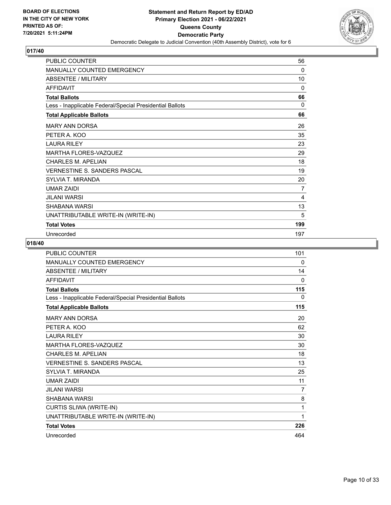

| <b>PUBLIC COUNTER</b>                                    | 56  |
|----------------------------------------------------------|-----|
| MANUALLY COUNTED EMERGENCY                               | 0   |
| <b>ABSENTEE / MILITARY</b>                               | 10  |
| <b>AFFIDAVIT</b>                                         | 0   |
| <b>Total Ballots</b>                                     | 66  |
| Less - Inapplicable Federal/Special Presidential Ballots | 0   |
| <b>Total Applicable Ballots</b>                          | 66  |
| <b>MARY ANN DORSA</b>                                    | 26  |
| PETER A. KOO                                             | 35  |
| <b>LAURA RILEY</b>                                       | 23  |
| <b>MARTHA FLORES-VAZQUEZ</b>                             | 29  |
| <b>CHARLES M. APELIAN</b>                                | 18  |
| <b>VERNESTINE S. SANDERS PASCAL</b>                      | 19  |
| SYLVIA T. MIRANDA                                        | 20  |
| <b>UMAR ZAIDI</b>                                        | 7   |
| JILANI WARSI                                             | 4   |
| SHABANA WARSI                                            | 13  |
| UNATTRIBUTABLE WRITE-IN (WRITE-IN)                       | 5   |
| <b>Total Votes</b>                                       | 199 |
| Unrecorded                                               | 197 |

| <b>PUBLIC COUNTER</b>                                    | 101 |
|----------------------------------------------------------|-----|
| MANUALLY COUNTED EMERGENCY                               | 0   |
| <b>ABSENTEE / MILITARY</b>                               | 14  |
| <b>AFFIDAVIT</b>                                         | 0   |
| <b>Total Ballots</b>                                     | 115 |
| Less - Inapplicable Federal/Special Presidential Ballots | 0   |
| <b>Total Applicable Ballots</b>                          | 115 |
| <b>MARY ANN DORSA</b>                                    | 20  |
| PETER A. KOO                                             | 62  |
| <b>LAURA RILEY</b>                                       | 30  |
| MARTHA FLORES-VAZQUEZ                                    | 30  |
| <b>CHARLES M. APELIAN</b>                                | 18  |
| VERNESTINE S. SANDERS PASCAL                             | 13  |
| <b>SYLVIA T. MIRANDA</b>                                 | 25  |
| <b>UMAR ZAIDI</b>                                        | 11  |
| <b>JILANI WARSI</b>                                      | 7   |
| <b>SHABANA WARSI</b>                                     | 8   |
| CURTIS SLIWA (WRITE-IN)                                  | 1   |
| UNATTRIBUTABLE WRITE-IN (WRITE-IN)                       | 1   |
| <b>Total Votes</b>                                       | 226 |
| Unrecorded                                               | 464 |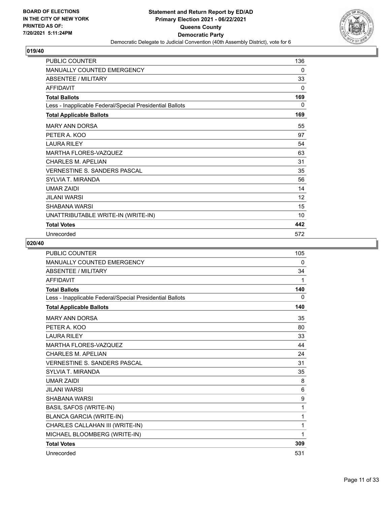

| <b>PUBLIC COUNTER</b>                                    | 136 |
|----------------------------------------------------------|-----|
| <b>MANUALLY COUNTED EMERGENCY</b>                        | 0   |
| ABSENTEE / MILITARY                                      | 33  |
| <b>AFFIDAVIT</b>                                         | 0   |
| <b>Total Ballots</b>                                     | 169 |
| Less - Inapplicable Federal/Special Presidential Ballots | 0   |
| <b>Total Applicable Ballots</b>                          | 169 |
| <b>MARY ANN DORSA</b>                                    | 55  |
| PETER A. KOO                                             | 97  |
| <b>LAURA RILEY</b>                                       | 54  |
| <b>MARTHA FLORES-VAZQUEZ</b>                             | 63  |
| <b>CHARLES M. APELIAN</b>                                | 31  |
| <b>VERNESTINE S. SANDERS PASCAL</b>                      | 35  |
| SYLVIA T. MIRANDA                                        | 56  |
| <b>UMAR ZAIDI</b>                                        | 14  |
| <b>JILANI WARSI</b>                                      | 12  |
| <b>SHABANA WARSI</b>                                     | 15  |
| UNATTRIBUTABLE WRITE-IN (WRITE-IN)                       | 10  |
| <b>Total Votes</b>                                       | 442 |
| Unrecorded                                               | 572 |

| <b>PUBLIC COUNTER</b>                                    | 105 |
|----------------------------------------------------------|-----|
| <b>MANUALLY COUNTED EMERGENCY</b>                        | 0   |
| <b>ABSENTEE / MILITARY</b>                               | 34  |
| <b>AFFIDAVIT</b>                                         | 1   |
| <b>Total Ballots</b>                                     | 140 |
| Less - Inapplicable Federal/Special Presidential Ballots | 0   |
| <b>Total Applicable Ballots</b>                          | 140 |
| <b>MARY ANN DORSA</b>                                    | 35  |
| PETER A. KOO                                             | 80  |
| <b>LAURA RILEY</b>                                       | 33  |
| MARTHA FLORES-VAZQUEZ                                    | 44  |
| <b>CHARLES M. APELIAN</b>                                | 24  |
| <b>VERNESTINE S. SANDERS PASCAL</b>                      | 31  |
| <b>SYLVIA T. MIRANDA</b>                                 | 35  |
| <b>UMAR ZAIDI</b>                                        | 8   |
| <b>JILANI WARSI</b>                                      | 6   |
| SHABANA WARSI                                            | 9   |
| <b>BASIL SAFOS (WRITE-IN)</b>                            | 1   |
| <b>BLANCA GARCIA (WRITE-IN)</b>                          | 1   |
| CHARLES CALLAHAN III (WRITE-IN)                          | 1   |
| MICHAEL BLOOMBERG (WRITE-IN)                             | 1   |
| <b>Total Votes</b>                                       | 309 |
| Unrecorded                                               | 531 |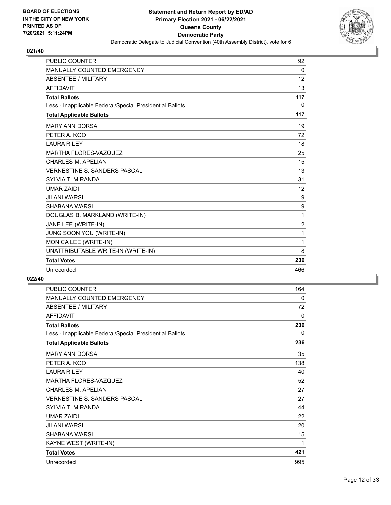

| <b>PUBLIC COUNTER</b>                                    | 92             |
|----------------------------------------------------------|----------------|
| <b>MANUALLY COUNTED EMERGENCY</b>                        | 0              |
| <b>ABSENTEE / MILITARY</b>                               | 12             |
| <b>AFFIDAVIT</b>                                         | 13             |
| <b>Total Ballots</b>                                     | 117            |
| Less - Inapplicable Federal/Special Presidential Ballots | $\mathbf{0}$   |
| <b>Total Applicable Ballots</b>                          | 117            |
| <b>MARY ANN DORSA</b>                                    | 19             |
| PETER A. KOO                                             | 72             |
| <b>LAURA RILEY</b>                                       | 18             |
| <b>MARTHA FLORES-VAZQUEZ</b>                             | 25             |
| CHARI FS M. APFI IAN                                     | 15             |
| <b>VERNESTINE S. SANDERS PASCAL</b>                      | 13             |
| <b>SYLVIA T. MIRANDA</b>                                 | 31             |
| <b>UMAR ZAIDI</b>                                        | 12             |
| <b>JILANI WARSI</b>                                      | 9              |
| <b>SHABANA WARSI</b>                                     | 9              |
| DOUGLAS B. MARKLAND (WRITE-IN)                           | 1              |
| JANE LEE (WRITE-IN)                                      | $\overline{2}$ |
| JUNG SOON YOU (WRITE-IN)                                 | 1              |
| MONICA LEE (WRITE-IN)                                    | 1              |
| UNATTRIBUTABLE WRITE-IN (WRITE-IN)                       | 8              |
| <b>Total Votes</b>                                       | 236            |
| Unrecorded                                               | 466            |

| PUBLIC COUNTER                                           | 164 |
|----------------------------------------------------------|-----|
| MANUALLY COUNTED EMERGENCY                               | 0   |
| <b>ABSENTEE / MILITARY</b>                               | 72  |
| <b>AFFIDAVIT</b>                                         | 0   |
| <b>Total Ballots</b>                                     | 236 |
| Less - Inapplicable Federal/Special Presidential Ballots | 0   |
| <b>Total Applicable Ballots</b>                          | 236 |
| <b>MARY ANN DORSA</b>                                    | 35  |
| PETER A. KOO                                             | 138 |
| <b>LAURA RILEY</b>                                       | 40  |
| <b>MARTHA FLORES-VAZQUEZ</b>                             | 52  |
| <b>CHARLES M. APELIAN</b>                                | 27  |
| <b>VERNESTINE S. SANDERS PASCAL</b>                      | 27  |
| <b>SYLVIA T. MIRANDA</b>                                 | 44  |
| <b>UMAR ZAIDI</b>                                        | 22  |
| <b>JILANI WARSI</b>                                      | 20  |
| SHABANA WARSI                                            | 15  |
| KAYNE WEST (WRITE-IN)                                    | 1   |
| <b>Total Votes</b>                                       | 421 |
| Unrecorded                                               | 995 |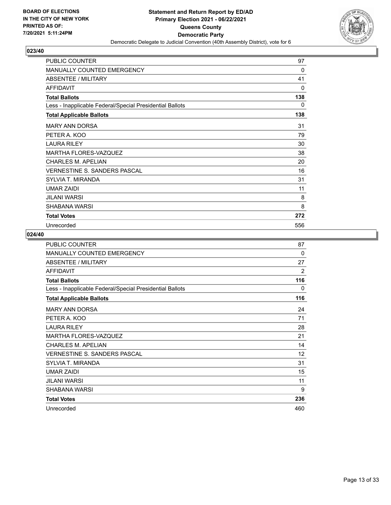

| PUBLIC COUNTER                                           | 97  |
|----------------------------------------------------------|-----|
| <b>MANUALLY COUNTED EMERGENCY</b>                        | 0   |
| ABSENTEE / MILITARY                                      | 41  |
| <b>AFFIDAVIT</b>                                         | 0   |
| <b>Total Ballots</b>                                     | 138 |
| Less - Inapplicable Federal/Special Presidential Ballots | 0   |
| <b>Total Applicable Ballots</b>                          | 138 |
| <b>MARY ANN DORSA</b>                                    | 31  |
| PETER A. KOO                                             | 79  |
| <b>LAURA RILEY</b>                                       | 30  |
| <b>MARTHA FLORES-VAZQUEZ</b>                             | 38  |
| <b>CHARLES M. APELIAN</b>                                | 20  |
| <b>VERNESTINE S. SANDERS PASCAL</b>                      | 16  |
| SYLVIA T. MIRANDA                                        | 31  |
| <b>UMAR ZAIDI</b>                                        | 11  |
| JILANI WARSI                                             | 8   |
| SHABANA WARSI                                            | 8   |
| <b>Total Votes</b>                                       | 272 |
| Unrecorded                                               | 556 |

| <b>PUBLIC COUNTER</b>                                    | 87  |
|----------------------------------------------------------|-----|
| MANUALLY COUNTED EMERGENCY                               | 0   |
| ABSENTEE / MILITARY                                      | 27  |
| <b>AFFIDAVIT</b>                                         | 2   |
| <b>Total Ballots</b>                                     | 116 |
| Less - Inapplicable Federal/Special Presidential Ballots | 0   |
| <b>Total Applicable Ballots</b>                          | 116 |
| <b>MARY ANN DORSA</b>                                    | 24  |
| PETER A. KOO                                             | 71  |
| <b>LAURA RILEY</b>                                       | 28  |
| <b>MARTHA FLORES-VAZQUEZ</b>                             | 21  |
| <b>CHARLES M. APELIAN</b>                                | 14  |
| <b>VERNESTINE S. SANDERS PASCAL</b>                      | 12  |
| SYI VIA T. MIRANDA                                       | 31  |
| <b>UMAR ZAIDI</b>                                        | 15  |
| JILANI WARSI                                             | 11  |
| SHABANA WARSI                                            | 9   |
| <b>Total Votes</b>                                       | 236 |
| Unrecorded                                               | 460 |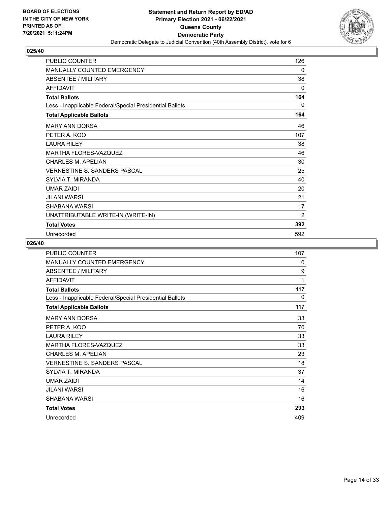

| <b>PUBLIC COUNTER</b>                                    | 126            |
|----------------------------------------------------------|----------------|
| MANUALLY COUNTED EMERGENCY                               | 0              |
| <b>ABSENTEE / MILITARY</b>                               | 38             |
| <b>AFFIDAVIT</b>                                         | 0              |
| <b>Total Ballots</b>                                     | 164            |
| Less - Inapplicable Federal/Special Presidential Ballots | 0              |
| <b>Total Applicable Ballots</b>                          | 164            |
| <b>MARY ANN DORSA</b>                                    | 46             |
| PETER A. KOO                                             | 107            |
| <b>LAURA RILEY</b>                                       | 38             |
| <b>MARTHA FLORES-VAZQUEZ</b>                             | 46             |
| <b>CHARLES M. APELIAN</b>                                | 30             |
| <b>VERNESTINE S. SANDERS PASCAL</b>                      | 25             |
| SYLVIA T. MIRANDA                                        | 40             |
| <b>UMAR ZAIDI</b>                                        | 20             |
| JILANI WARSI                                             | 21             |
| SHABANA WARSI                                            | 17             |
| UNATTRIBUTABLE WRITE-IN (WRITE-IN)                       | $\overline{2}$ |
| <b>Total Votes</b>                                       | 392            |
| Unrecorded                                               | 592            |

| <b>PUBLIC COUNTER</b>                                    | 107          |
|----------------------------------------------------------|--------------|
| <b>MANUALLY COUNTED EMERGENCY</b>                        | 0            |
| <b>ABSENTEE / MILITARY</b>                               | 9            |
| <b>AFFIDAVIT</b>                                         | 1            |
| <b>Total Ballots</b>                                     | 117          |
| Less - Inapplicable Federal/Special Presidential Ballots | $\mathbf{0}$ |
| <b>Total Applicable Ballots</b>                          | 117          |
| <b>MARY ANN DORSA</b>                                    | 33           |
| PETER A. KOO                                             | 70           |
| <b>LAURA RILEY</b>                                       | 33           |
| MARTHA FLORES-VAZQUEZ                                    | 33           |
| <b>CHARLES M. APELIAN</b>                                | 23           |
| <b>VERNESTINE S. SANDERS PASCAL</b>                      | 18           |
| SYLVIA T. MIRANDA                                        | 37           |
| <b>UMAR ZAIDI</b>                                        | 14           |
| <b>JILANI WARSI</b>                                      | 16           |
| SHABANA WARSI                                            | 16           |
| <b>Total Votes</b>                                       | 293          |
| Unrecorded                                               | 409          |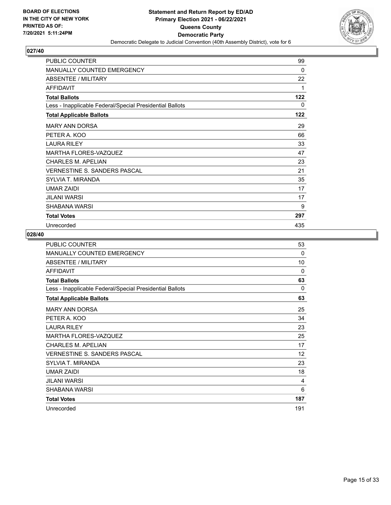

| PUBLIC COUNTER                                           | 99       |
|----------------------------------------------------------|----------|
| <b>MANUALLY COUNTED EMERGENCY</b>                        | $\Omega$ |
| ABSENTEE / MILITARY                                      | 22       |
| <b>AFFIDAVIT</b>                                         | 1        |
| <b>Total Ballots</b>                                     | 122      |
| Less - Inapplicable Federal/Special Presidential Ballots | 0        |
| <b>Total Applicable Ballots</b>                          | 122      |
| <b>MARY ANN DORSA</b>                                    | 29       |
| PETER A. KOO                                             | 66       |
| <b>LAURA RILEY</b>                                       | 33       |
| <b>MARTHA FLORES-VAZQUEZ</b>                             | 47       |
| CHARLES M. APELIAN                                       | 23       |
| <b>VERNESTINE S. SANDERS PASCAL</b>                      | 21       |
| SYLVIA T. MIRANDA                                        | 35       |
| <b>UMAR ZAIDI</b>                                        | 17       |
| JILANI WARSI                                             | 17       |
| SHABANA WARSI                                            | 9        |
| <b>Total Votes</b>                                       | 297      |
| Unrecorded                                               | 435      |

| PUBLIC COUNTER                                           | 53           |
|----------------------------------------------------------|--------------|
| <b>MANUALLY COUNTED EMERGENCY</b>                        | 0            |
| ABSENTEE / MILITARY                                      | 10           |
| <b>AFFIDAVIT</b>                                         | $\mathbf{0}$ |
| <b>Total Ballots</b>                                     | 63           |
| Less - Inapplicable Federal/Special Presidential Ballots | 0            |
| <b>Total Applicable Ballots</b>                          | 63           |
| <b>MARY ANN DORSA</b>                                    | 25           |
| PETER A. KOO                                             | 34           |
| <b>LAURA RILEY</b>                                       | 23           |
| <b>MARTHA FLORES-VAZQUEZ</b>                             | 25           |
| <b>CHARLES M. APELIAN</b>                                | 17           |
| VERNESTINE S. SANDERS PASCAL                             | 12           |
| SYLVIA T. MIRANDA                                        | 23           |
| <b>UMAR ZAIDI</b>                                        | 18           |
| JII ANI WARSI                                            | 4            |
| SHABANA WARSI                                            | 6            |
| <b>Total Votes</b>                                       | 187          |
| Unrecorded                                               | 191          |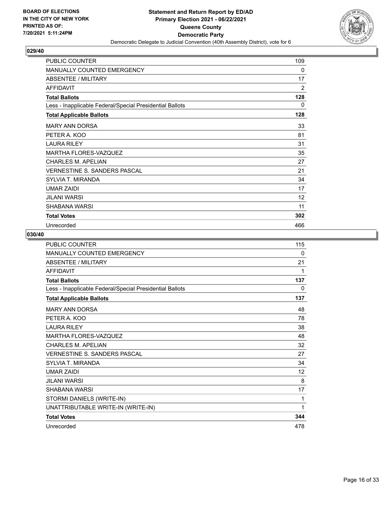

| <b>PUBLIC COUNTER</b>                                    | 109 |
|----------------------------------------------------------|-----|
| MANUALLY COUNTED EMERGENCY                               | 0   |
| ABSENTEE / MILITARY                                      | 17  |
| <b>AFFIDAVIT</b>                                         | 2   |
| <b>Total Ballots</b>                                     | 128 |
| Less - Inapplicable Federal/Special Presidential Ballots | 0   |
| <b>Total Applicable Ballots</b>                          | 128 |
| <b>MARY ANN DORSA</b>                                    | 33  |
| PETER A. KOO                                             | 81  |
| <b>LAURA RILEY</b>                                       | 31  |
| MARTHA FLORES-VAZQUEZ                                    | 35  |
| <b>CHARLES M. APELIAN</b>                                | 27  |
| <b>VERNESTINE S. SANDERS PASCAL</b>                      | 21  |
| SYLVIA T. MIRANDA                                        | 34  |
| <b>UMAR ZAIDI</b>                                        | 17  |
| <b>JILANI WARSI</b>                                      | 12  |
| SHABANA WARSI                                            | 11  |
| <b>Total Votes</b>                                       | 302 |
| Unrecorded                                               | 466 |

| PUBLIC COUNTER                                           | 115      |
|----------------------------------------------------------|----------|
| <b>MANUALLY COUNTED EMERGENCY</b>                        | $\Omega$ |
| <b>ABSENTEE / MILITARY</b>                               | 21       |
| <b>AFFIDAVIT</b>                                         | 1        |
| <b>Total Ballots</b>                                     | 137      |
| Less - Inapplicable Federal/Special Presidential Ballots | 0        |
| <b>Total Applicable Ballots</b>                          | 137      |
| <b>MARY ANN DORSA</b>                                    | 48       |
| PETER A. KOO                                             | 78       |
| <b>LAURA RILEY</b>                                       | 38       |
| MARTHA FLORES-VAZQUEZ                                    | 48       |
| <b>CHARLES M. APELIAN</b>                                | 32       |
| VERNESTINE S. SANDERS PASCAL                             | 27       |
| SYLVIA T. MIRANDA                                        | 34       |
| <b>UMAR ZAIDI</b>                                        | 12       |
| <b>JILANI WARSI</b>                                      | 8        |
| SHABANA WARSI                                            | 17       |
| STORMI DANIELS (WRITE-IN)                                | 1        |
| UNATTRIBUTABLE WRITE-IN (WRITE-IN)                       | 1        |
| <b>Total Votes</b>                                       | 344      |
| Unrecorded                                               | 478      |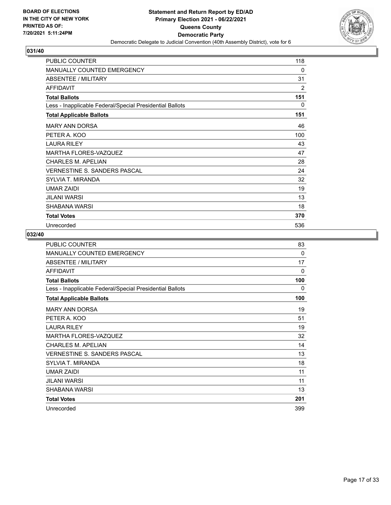

| PUBLIC COUNTER                                           | 118 |
|----------------------------------------------------------|-----|
| <b>MANUALLY COUNTED EMERGENCY</b>                        | 0   |
| ABSENTEE / MILITARY                                      | 31  |
| <b>AFFIDAVIT</b>                                         | 2   |
| <b>Total Ballots</b>                                     | 151 |
| Less - Inapplicable Federal/Special Presidential Ballots | 0   |
| <b>Total Applicable Ballots</b>                          | 151 |
| <b>MARY ANN DORSA</b>                                    | 46  |
| PETER A. KOO                                             | 100 |
| <b>LAURA RILEY</b>                                       | 43  |
| MARTHA FLORES-VAZQUEZ                                    | 47  |
| <b>CHARLES M. APELIAN</b>                                | 28  |
| <b>VERNESTINE S. SANDERS PASCAL</b>                      | 24  |
| SYLVIA T. MIRANDA                                        | 32  |
| <b>UMAR ZAIDI</b>                                        | 19  |
| JILANI WARSI                                             | 13  |
| SHABANA WARSI                                            | 18  |
| <b>Total Votes</b>                                       | 370 |
| Unrecorded                                               | 536 |

| <b>PUBLIC COUNTER</b>                                    | 83  |
|----------------------------------------------------------|-----|
| <b>MANUALLY COUNTED EMERGENCY</b>                        | 0   |
| <b>ABSENTEE / MILITARY</b>                               | 17  |
| <b>AFFIDAVIT</b>                                         | 0   |
| <b>Total Ballots</b>                                     | 100 |
| Less - Inapplicable Federal/Special Presidential Ballots | 0   |
| <b>Total Applicable Ballots</b>                          | 100 |
| <b>MARY ANN DORSA</b>                                    | 19  |
| PETER A. KOO                                             | 51  |
| <b>LAURA RILEY</b>                                       | 19  |
| <b>MARTHA FLORES-VAZQUEZ</b>                             | 32  |
| CHARLES M. APELIAN                                       | 14  |
| VERNESTINE S. SANDERS PASCAL                             | 13  |
| SYLVIA T. MIRANDA                                        | 18  |
| <b>UMAR ZAIDI</b>                                        | 11  |
| JILANI WARSI                                             | 11  |
| SHABANA WARSI                                            | 13  |
| <b>Total Votes</b>                                       | 201 |
| Unrecorded                                               | 399 |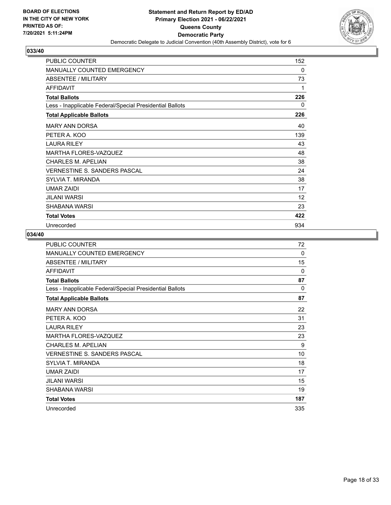

| PUBLIC COUNTER                                           | 152 |
|----------------------------------------------------------|-----|
| <b>MANUALLY COUNTED EMERGENCY</b>                        | 0   |
| ABSENTEE / MILITARY                                      | 73  |
| <b>AFFIDAVIT</b>                                         | 1   |
| <b>Total Ballots</b>                                     | 226 |
| Less - Inapplicable Federal/Special Presidential Ballots | 0   |
| <b>Total Applicable Ballots</b>                          | 226 |
| <b>MARY ANN DORSA</b>                                    | 40  |
| PETER A. KOO                                             | 139 |
| <b>LAURA RILEY</b>                                       | 43  |
| <b>MARTHA FLORES-VAZQUEZ</b>                             | 48  |
| CHARLES M. APELIAN                                       | 38  |
| <b>VERNESTINE S. SANDERS PASCAL</b>                      | 24  |
| SYLVIA T. MIRANDA                                        | 38  |
| <b>UMAR ZAIDI</b>                                        | 17  |
| JILANI WARSI                                             | 12  |
| SHABANA WARSI                                            | 23  |
| <b>Total Votes</b>                                       | 422 |
| Unrecorded                                               | 934 |

| <b>PUBLIC COUNTER</b>                                    | 72       |
|----------------------------------------------------------|----------|
| <b>MANUALLY COUNTED EMERGENCY</b>                        | 0        |
| ABSENTEE / MILITARY                                      | 15       |
| <b>AFFIDAVIT</b>                                         | 0        |
| <b>Total Ballots</b>                                     | 87       |
| Less - Inapplicable Federal/Special Presidential Ballots | $\Omega$ |
| <b>Total Applicable Ballots</b>                          | 87       |
| <b>MARY ANN DORSA</b>                                    | 22       |
| PETER A. KOO                                             | 31       |
| <b>LAURA RILEY</b>                                       | 23       |
| <b>MARTHA FLORES-VAZQUEZ</b>                             | 23       |
| <b>CHARLES M. APELIAN</b>                                | 9        |
| <b>VERNESTINE S. SANDERS PASCAL</b>                      | 10       |
| SYLVIA T. MIRANDA                                        | 18       |
| UMAR ZAIDI                                               | 17       |
| JILANI WARSI                                             | 15       |
| SHABANA WARSI                                            | 19       |
| <b>Total Votes</b>                                       | 187      |
| Unrecorded                                               | 335      |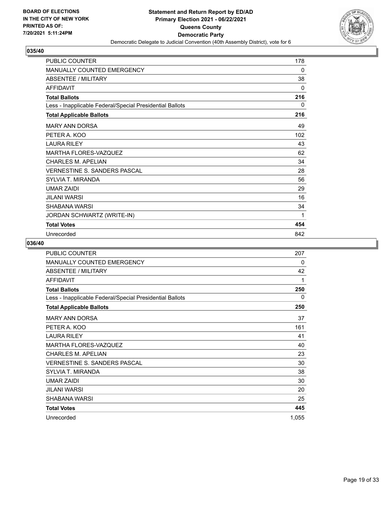

| <b>PUBLIC COUNTER</b>                                    | 178 |
|----------------------------------------------------------|-----|
| MANUALLY COUNTED EMERGENCY                               | 0   |
| ABSENTEE / MILITARY                                      | 38  |
| <b>AFFIDAVIT</b>                                         | 0   |
| <b>Total Ballots</b>                                     | 216 |
| Less - Inapplicable Federal/Special Presidential Ballots | 0   |
| <b>Total Applicable Ballots</b>                          | 216 |
| <b>MARY ANN DORSA</b>                                    | 49  |
| PETER A. KOO                                             | 102 |
| <b>LAURA RILEY</b>                                       | 43  |
| MARTHA FLORES-VAZQUEZ                                    | 62  |
| <b>CHARLES M. APELIAN</b>                                | 34  |
| <b>VERNESTINE S. SANDERS PASCAL</b>                      | 28  |
| SYLVIA T. MIRANDA                                        | 56  |
| <b>UMAR ZAIDI</b>                                        | 29  |
| JILANI WARSI                                             | 16  |
| <b>SHABANA WARSI</b>                                     | 34  |
| JORDAN SCHWARTZ (WRITE-IN)                               | 1   |
| <b>Total Votes</b>                                       | 454 |
| Unrecorded                                               | 842 |

| PUBLIC COUNTER                                           | 207   |
|----------------------------------------------------------|-------|
| MANUALLY COUNTED EMERGENCY                               | 0     |
| ABSENTEE / MILITARY                                      | 42    |
| <b>AFFIDAVIT</b>                                         | 1     |
| <b>Total Ballots</b>                                     | 250   |
| Less - Inapplicable Federal/Special Presidential Ballots | 0     |
| <b>Total Applicable Ballots</b>                          | 250   |
| <b>MARY ANN DORSA</b>                                    | 37    |
| PETER A. KOO                                             | 161   |
| <b>LAURA RILEY</b>                                       | 41    |
| <b>MARTHA FLORES-VAZQUEZ</b>                             | 40    |
| CHARLES M. APELIAN                                       | 23    |
| <b>VERNESTINE S. SANDERS PASCAL</b>                      | 30    |
| SYLVIA T. MIRANDA                                        | 38    |
| <b>UMAR ZAIDI</b>                                        | 30    |
| JILANI WARSI                                             | 20    |
| SHABANA WARSI                                            | 25    |
| <b>Total Votes</b>                                       | 445   |
| Unrecorded                                               | 1,055 |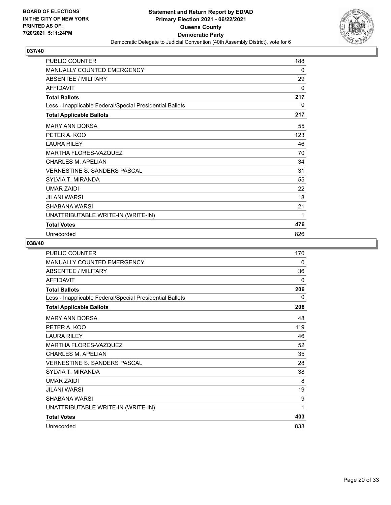

| <b>PUBLIC COUNTER</b>                                    | 188 |
|----------------------------------------------------------|-----|
| MANUALLY COUNTED EMERGENCY                               | 0   |
| <b>ABSENTEE / MILITARY</b>                               | 29  |
| <b>AFFIDAVIT</b>                                         | 0   |
| <b>Total Ballots</b>                                     | 217 |
| Less - Inapplicable Federal/Special Presidential Ballots | 0   |
| <b>Total Applicable Ballots</b>                          | 217 |
| <b>MARY ANN DORSA</b>                                    | 55  |
| PETER A. KOO                                             | 123 |
| <b>LAURA RILEY</b>                                       | 46  |
| <b>MARTHA FLORES-VAZQUEZ</b>                             | 70  |
| <b>CHARLES M. APELIAN</b>                                | 34  |
| VERNESTINE S. SANDERS PASCAL                             | 31  |
| SYLVIA T. MIRANDA                                        | 55  |
| <b>UMAR ZAIDI</b>                                        | 22  |
| JILANI WARSI                                             | 18  |
| SHABANA WARSI                                            | 21  |
| UNATTRIBUTABLE WRITE-IN (WRITE-IN)                       | 1   |
| <b>Total Votes</b>                                       | 476 |
| Unrecorded                                               | 826 |

| <b>PUBLIC COUNTER</b>                                    | 170          |
|----------------------------------------------------------|--------------|
| MANUALLY COUNTED EMERGENCY                               | 0            |
| <b>ABSENTEE / MILITARY</b>                               | 36           |
| <b>AFFIDAVIT</b>                                         | $\mathbf{0}$ |
| <b>Total Ballots</b>                                     | 206          |
| Less - Inapplicable Federal/Special Presidential Ballots | $\Omega$     |
| <b>Total Applicable Ballots</b>                          | 206          |
| <b>MARY ANN DORSA</b>                                    | 48           |
| PETER A. KOO                                             | 119          |
| <b>LAURA RILEY</b>                                       | 46           |
| <b>MARTHA FLORES-VAZQUEZ</b>                             | 52           |
| <b>CHARLES M. APELIAN</b>                                | 35           |
| VERNESTINE S. SANDERS PASCAL                             | 28           |
| <b>SYLVIA T. MIRANDA</b>                                 | 38           |
| <b>UMAR ZAIDI</b>                                        | 8            |
| <b>JILANI WARSI</b>                                      | 19           |
| SHABANA WARSI                                            | 9            |
| UNATTRIBUTABLE WRITE-IN (WRITE-IN)                       | 1            |
| <b>Total Votes</b>                                       | 403          |
| Unrecorded                                               | 833          |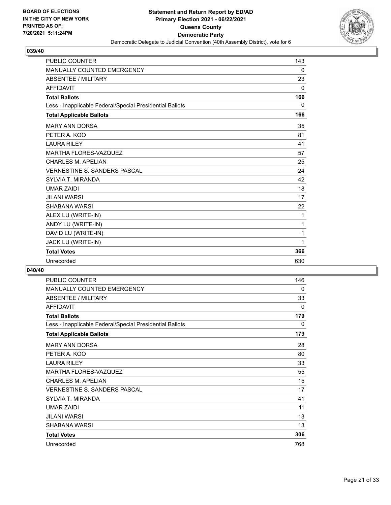

| <b>PUBLIC COUNTER</b>                                    | 143      |
|----------------------------------------------------------|----------|
| <b>MANUALLY COUNTED EMERGENCY</b>                        | 0        |
| <b>ABSENTEE / MILITARY</b>                               | 23       |
| <b>AFFIDAVIT</b>                                         | $\Omega$ |
| <b>Total Ballots</b>                                     | 166      |
| Less - Inapplicable Federal/Special Presidential Ballots | 0        |
| <b>Total Applicable Ballots</b>                          | 166      |
| <b>MARY ANN DORSA</b>                                    | 35       |
| PETER A. KOO                                             | 81       |
| <b>LAURA RILEY</b>                                       | 41       |
| <b>MARTHA FLORES-VAZQUEZ</b>                             | 57       |
| <b>CHARLES M. APELIAN</b>                                | 25       |
| <b>VERNESTINE S. SANDERS PASCAL</b>                      | 24       |
| <b>SYLVIA T. MIRANDA</b>                                 | 42       |
| <b>UMAR ZAIDI</b>                                        | 18       |
| <b>JILANI WARSI</b>                                      | 17       |
| <b>SHABANA WARSI</b>                                     | 22       |
| ALEX LU (WRITE-IN)                                       | 1        |
| ANDY LU (WRITE-IN)                                       | 1        |
| DAVID LU (WRITE-IN)                                      | 1        |
| JACK LU (WRITE-IN)                                       | 1        |
| <b>Total Votes</b>                                       | 366      |
| Unrecorded                                               | 630      |

| <b>PUBLIC COUNTER</b>                                    | 146 |
|----------------------------------------------------------|-----|
| <b>MANUALLY COUNTED EMERGENCY</b>                        | 0   |
| ABSENTEE / MILITARY                                      | 33  |
| <b>AFFIDAVIT</b>                                         | 0   |
| <b>Total Ballots</b>                                     | 179 |
| Less - Inapplicable Federal/Special Presidential Ballots | 0   |
| <b>Total Applicable Ballots</b>                          | 179 |
| <b>MARY ANN DORSA</b>                                    | 28  |
| PETER A. KOO                                             | 80  |
| <b>LAURA RILEY</b>                                       | 33  |
| MARTHA FLORES-VAZQUEZ                                    | 55  |
| <b>CHARLES M. APELIAN</b>                                | 15  |
| <b>VERNESTINE S. SANDERS PASCAL</b>                      | 17  |
| SYLVIA T. MIRANDA                                        | 41  |
| <b>UMAR ZAIDI</b>                                        | 11  |
| JILANI WARSI                                             | 13  |
| SHABANA WARSI                                            | 13  |
| <b>Total Votes</b>                                       | 306 |
| Unrecorded                                               | 768 |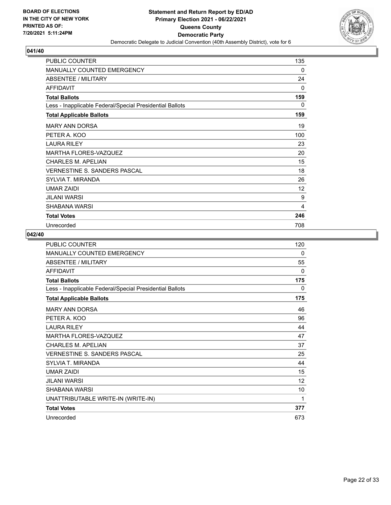

| PUBLIC COUNTER                                           | 135 |
|----------------------------------------------------------|-----|
| <b>MANUALLY COUNTED EMERGENCY</b>                        | 0   |
| ABSENTEE / MILITARY                                      | 24  |
| <b>AFFIDAVIT</b>                                         | 0   |
| <b>Total Ballots</b>                                     | 159 |
| Less - Inapplicable Federal/Special Presidential Ballots | 0   |
| <b>Total Applicable Ballots</b>                          | 159 |
| <b>MARY ANN DORSA</b>                                    | 19  |
| PETER A. KOO                                             | 100 |
| <b>LAURA RILEY</b>                                       | 23  |
| <b>MARTHA FLORES-VAZQUEZ</b>                             | 20  |
| <b>CHARLES M. APELIAN</b>                                | 15  |
| <b>VERNESTINE S. SANDERS PASCAL</b>                      | 18  |
| SYLVIA T. MIRANDA                                        | 26  |
| <b>UMAR ZAIDI</b>                                        | 12  |
| JILANI WARSI                                             | 9   |
| SHABANA WARSI                                            | 4   |
| <b>Total Votes</b>                                       | 246 |
| Unrecorded                                               | 708 |

| PUBLIC COUNTER                                           | 120 |
|----------------------------------------------------------|-----|
| <b>MANUALLY COUNTED EMERGENCY</b>                        | 0   |
| <b>ABSENTEE / MILITARY</b>                               | 55  |
| <b>AFFIDAVIT</b>                                         | 0   |
| <b>Total Ballots</b>                                     | 175 |
| Less - Inapplicable Federal/Special Presidential Ballots | 0   |
| <b>Total Applicable Ballots</b>                          | 175 |
| <b>MARY ANN DORSA</b>                                    | 46  |
| PETER A. KOO                                             | 96  |
| <b>LAURA RILEY</b>                                       | 44  |
| <b>MARTHA FLORES-VAZQUEZ</b>                             | 47  |
| <b>CHARLES M. APELIAN</b>                                | 37  |
| VERNESTINE S. SANDERS PASCAL                             | 25  |
| <b>SYLVIA T. MIRANDA</b>                                 | 44  |
| <b>UMAR ZAIDI</b>                                        | 15  |
| <b>JILANI WARSI</b>                                      | 12  |
| SHABANA WARSI                                            | 10  |
| UNATTRIBUTABLE WRITE-IN (WRITE-IN)                       | 1   |
| <b>Total Votes</b>                                       | 377 |
| Unrecorded                                               | 673 |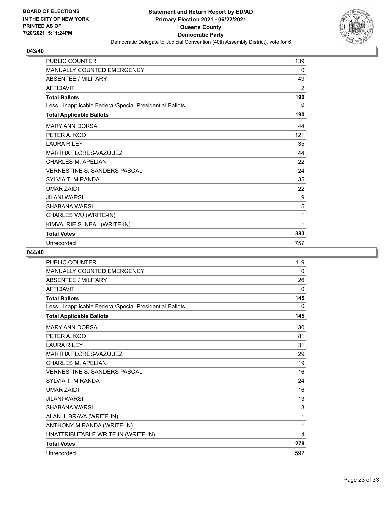

| <b>PUBLIC COUNTER</b>                                    | 139 |
|----------------------------------------------------------|-----|
| <b>MANUALLY COUNTED EMERGENCY</b>                        | 0   |
| <b>ABSENTEE / MILITARY</b>                               | 49  |
| <b>AFFIDAVIT</b>                                         | 2   |
| <b>Total Ballots</b>                                     | 190 |
| Less - Inapplicable Federal/Special Presidential Ballots | 0   |
| <b>Total Applicable Ballots</b>                          | 190 |
| <b>MARY ANN DORSA</b>                                    | 44  |
| PETER A. KOO                                             | 121 |
| <b>LAURA RILEY</b>                                       | 35  |
| <b>MARTHA FLORES-VAZQUEZ</b>                             | 44  |
| <b>CHARLES M. APELIAN</b>                                | 22  |
| <b>VERNESTINE S. SANDERS PASCAL</b>                      | 24  |
| <b>SYLVIA T. MIRANDA</b>                                 | 35  |
| <b>UMAR ZAIDI</b>                                        | 22  |
| <b>JILANI WARSI</b>                                      | 19  |
| <b>SHABANA WARSI</b>                                     | 15  |
| CHARLES WU (WRITE-IN)                                    | 1   |
| KIMVALRIE S. NEAL (WRITE-IN)                             | 1   |
| <b>Total Votes</b>                                       | 383 |
| Unrecorded                                               | 757 |

| <b>PUBLIC COUNTER</b>                                    | 119 |
|----------------------------------------------------------|-----|
| <b>MANUALLY COUNTED EMERGENCY</b>                        | 0   |
| <b>ABSENTEE / MILITARY</b>                               | 26  |
| <b>AFFIDAVIT</b>                                         | 0   |
| <b>Total Ballots</b>                                     | 145 |
| Less - Inapplicable Federal/Special Presidential Ballots | 0   |
| <b>Total Applicable Ballots</b>                          | 145 |
| <b>MARY ANN DORSA</b>                                    | 30  |
| PETER A. KOO                                             | 81  |
| <b>LAURA RILEY</b>                                       | 31  |
| <b>MARTHA FLORES-VAZQUEZ</b>                             | 29  |
| <b>CHARLES M. APELIAN</b>                                | 19  |
| VERNESTINE S. SANDERS PASCAL                             | 16  |
| <b>SYLVIA T. MIRANDA</b>                                 | 24  |
| <b>UMAR ZAIDI</b>                                        | 16  |
| <b>JILANI WARSI</b>                                      | 13  |
| SHABANA WARSI                                            | 13  |
| ALAN J. BRAVA (WRITE-IN)                                 | 1   |
| ANTHONY MIRANDA (WRITE-IN)                               | 1   |
| UNATTRIBUTABLE WRITE-IN (WRITE-IN)                       | 4   |
| <b>Total Votes</b>                                       | 278 |
| Unrecorded                                               | 592 |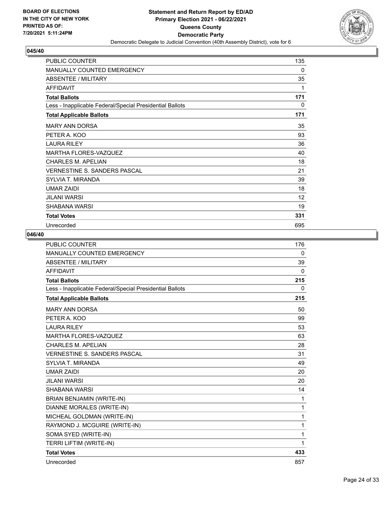

| <b>PUBLIC COUNTER</b>                                    | 135 |
|----------------------------------------------------------|-----|
| <b>MANUALLY COUNTED EMERGENCY</b>                        | 0   |
| <b>ABSENTEE / MILITARY</b>                               | 35  |
| <b>AFFIDAVIT</b>                                         | 1   |
| <b>Total Ballots</b>                                     | 171 |
| Less - Inapplicable Federal/Special Presidential Ballots | 0   |
| <b>Total Applicable Ballots</b>                          | 171 |
| <b>MARY ANN DORSA</b>                                    | 35  |
| PETER A. KOO                                             | 93  |
| <b>LAURA RILEY</b>                                       | 36  |
| MARTHA FLORES-VAZQUEZ                                    | 40  |
| <b>CHARLES M. APELIAN</b>                                | 18  |
| <b>VERNESTINE S. SANDERS PASCAL</b>                      | 21  |
| SYLVIA T. MIRANDA                                        | 39  |
| <b>UMAR ZAIDI</b>                                        | 18  |
| <b>JILANI WARSI</b>                                      | 12  |
| SHABANA WARSI                                            | 19  |
| <b>Total Votes</b>                                       | 331 |
| Unrecorded                                               | 695 |

| <b>PUBLIC COUNTER</b>                                    | 176          |
|----------------------------------------------------------|--------------|
| <b>MANUALLY COUNTED EMERGENCY</b>                        | 0            |
| <b>ABSENTEE / MILITARY</b>                               | 39           |
| <b>AFFIDAVIT</b>                                         | 0            |
| <b>Total Ballots</b>                                     | 215          |
| Less - Inapplicable Federal/Special Presidential Ballots | $\mathbf{0}$ |
| <b>Total Applicable Ballots</b>                          | 215          |
| <b>MARY ANN DORSA</b>                                    | 50           |
| PETER A. KOO                                             | 99           |
| <b>LAURA RILEY</b>                                       | 53           |
| <b>MARTHA FLORES-VAZQUEZ</b>                             | 63           |
| <b>CHARLES M. APELIAN</b>                                | 28           |
| <b>VERNESTINE S. SANDERS PASCAL</b>                      | 31           |
| <b>SYLVIA T. MIRANDA</b>                                 | 49           |
| <b>UMAR ZAIDI</b>                                        | 20           |
| <b>JILANI WARSI</b>                                      | 20           |
| SHABANA WARSI                                            | 14           |
| BRIAN BENJAMIN (WRITE-IN)                                | 1            |
| DIANNE MORALES (WRITE-IN)                                | 1            |
| MICHEAL GOLDMAN (WRITE-IN)                               | 1            |
| RAYMOND J. MCGUIRE (WRITE-IN)                            | 1            |
| SOMA SYED (WRITE-IN)                                     | 1            |
| TERRI LIFTIM (WRITE-IN)                                  | 1            |
| <b>Total Votes</b>                                       | 433          |
| Unrecorded                                               | 857          |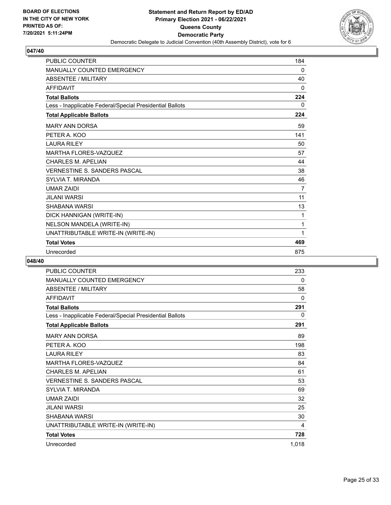

| <b>PUBLIC COUNTER</b>                                    | 184      |
|----------------------------------------------------------|----------|
| <b>MANUALLY COUNTED EMERGENCY</b>                        | $\Omega$ |
| <b>ABSENTEE / MILITARY</b>                               | 40       |
| <b>AFFIDAVIT</b>                                         | 0        |
| <b>Total Ballots</b>                                     | 224      |
| Less - Inapplicable Federal/Special Presidential Ballots | $\Omega$ |
| <b>Total Applicable Ballots</b>                          | 224      |
| <b>MARY ANN DORSA</b>                                    | 59       |
| PETER A. KOO                                             | 141      |
| <b>LAURA RILEY</b>                                       | 50       |
| <b>MARTHA FLORES-VAZQUEZ</b>                             | 57       |
| <b>CHARLES M. APELIAN</b>                                | 44       |
| <b>VERNESTINE S. SANDERS PASCAL</b>                      | 38       |
| <b>SYLVIA T. MIRANDA</b>                                 | 46       |
| <b>UMAR ZAIDI</b>                                        | 7        |
| <b>JILANI WARSI</b>                                      | 11       |
| <b>SHABANA WARSI</b>                                     | 13       |
| DICK HANNIGAN (WRITE-IN)                                 | 1        |
| NELSON MANDELA (WRITE-IN)                                | 1        |
| UNATTRIBUTABLE WRITE-IN (WRITE-IN)                       | 1        |
| <b>Total Votes</b>                                       | 469      |
| Unrecorded                                               | 875      |

| <b>PUBLIC COUNTER</b>                                    | 233   |
|----------------------------------------------------------|-------|
| MANUALLY COUNTED EMERGENCY                               | 0     |
| ABSENTEE / MILITARY                                      | 58    |
| AFFIDAVIT                                                | 0     |
| <b>Total Ballots</b>                                     | 291   |
| Less - Inapplicable Federal/Special Presidential Ballots | 0     |
| <b>Total Applicable Ballots</b>                          | 291   |
| <b>MARY ANN DORSA</b>                                    | 89    |
| PETER A. KOO                                             | 198   |
| <b>LAURA RILEY</b>                                       | 83    |
| MARTHA FLORES-VAZQUEZ                                    | 84    |
| <b>CHARLES M. APELIAN</b>                                | 61    |
| VERNESTINE S. SANDERS PASCAL                             | 53    |
| <b>SYLVIA T. MIRANDA</b>                                 | 69    |
| <b>UMAR ZAIDI</b>                                        | 32    |
| JILANI WARSI                                             | 25    |
| SHABANA WARSI                                            | 30    |
| UNATTRIBUTABLE WRITE-IN (WRITE-IN)                       | 4     |
| <b>Total Votes</b>                                       | 728   |
| Unrecorded                                               | 1,018 |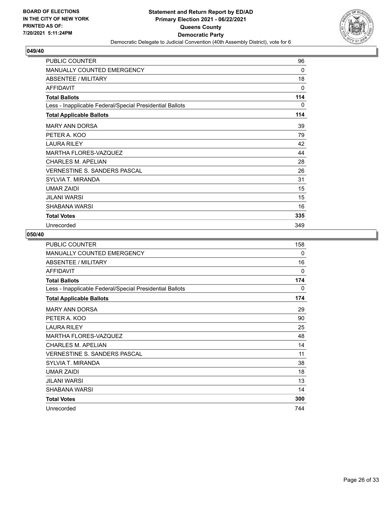

| PUBLIC COUNTER                                           | 96  |
|----------------------------------------------------------|-----|
| <b>MANUALLY COUNTED EMERGENCY</b>                        | 0   |
| ABSENTEE / MILITARY                                      | 18  |
| <b>AFFIDAVIT</b>                                         | 0   |
| <b>Total Ballots</b>                                     | 114 |
| Less - Inapplicable Federal/Special Presidential Ballots | 0   |
| <b>Total Applicable Ballots</b>                          | 114 |
| <b>MARY ANN DORSA</b>                                    | 39  |
| PETER A. KOO                                             | 79  |
| <b>LAURA RILEY</b>                                       | 42  |
| <b>MARTHA FLORES-VAZQUEZ</b>                             | 44  |
| CHARLES M. APELIAN                                       | 28  |
| <b>VERNESTINE S. SANDERS PASCAL</b>                      | 26  |
| SYLVIA T. MIRANDA                                        | 31  |
| <b>UMAR ZAIDI</b>                                        | 15  |
| JILANI WARSI                                             | 15  |
| SHABANA WARSI                                            | 16  |
| <b>Total Votes</b>                                       | 335 |
| Unrecorded                                               | 349 |

| PUBLIC COUNTER                                           | 158      |
|----------------------------------------------------------|----------|
| <b>MANUALLY COUNTED EMERGENCY</b>                        | 0        |
| ABSENTEE / MILITARY                                      | 16       |
| <b>AFFIDAVIT</b>                                         | $\Omega$ |
| <b>Total Ballots</b>                                     | 174      |
| Less - Inapplicable Federal/Special Presidential Ballots | 0        |
| <b>Total Applicable Ballots</b>                          | 174      |
| <b>MARY ANN DORSA</b>                                    | 29       |
| PETER A. KOO                                             | 90       |
| <b>LAURA RILEY</b>                                       | 25       |
| <b>MARTHA FLORES-VAZQUEZ</b>                             | 48       |
| <b>CHARLES M. APELIAN</b>                                | 14       |
| VERNESTINE S. SANDERS PASCAL                             | 11       |
| SYLVIA T. MIRANDA                                        | 38       |
| <b>UMAR ZAIDI</b>                                        | 18       |
| JII ANI WARSI                                            | 13       |
| SHABANA WARSI                                            | 14       |
| <b>Total Votes</b>                                       | 300      |
| Unrecorded                                               | 744      |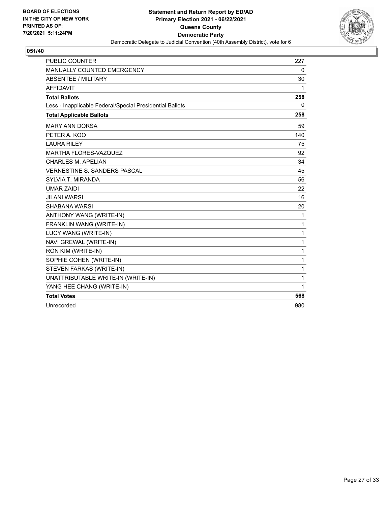

| <b>PUBLIC COUNTER</b>                                    | 227         |
|----------------------------------------------------------|-------------|
| MANUALLY COUNTED EMERGENCY                               | $\mathbf 0$ |
| <b>ABSENTEE / MILITARY</b>                               | 30          |
| <b>AFFIDAVIT</b>                                         | 1           |
| <b>Total Ballots</b>                                     | 258         |
| Less - Inapplicable Federal/Special Presidential Ballots | $\Omega$    |
| <b>Total Applicable Ballots</b>                          | 258         |
| <b>MARY ANN DORSA</b>                                    | 59          |
| PETER A. KOO                                             | 140         |
| <b>LAURA RILEY</b>                                       | 75          |
| <b>MARTHA FLORES-VAZQUEZ</b>                             | 92          |
| <b>CHARLES M. APELIAN</b>                                | 34          |
| VERNESTINE S. SANDERS PASCAL                             | 45          |
| <b>SYLVIA T. MIRANDA</b>                                 | 56          |
| <b>UMAR ZAIDI</b>                                        | 22          |
| <b>JILANI WARSI</b>                                      | 16          |
| SHABANA WARSI                                            | 20          |
| ANTHONY WANG (WRITE-IN)                                  | 1           |
| FRANKLIN WANG (WRITE-IN)                                 | 1           |
| LUCY WANG (WRITE-IN)                                     | 1           |
| NAVI GREWAL (WRITE-IN)                                   | 1           |
| RON KIM (WRITE-IN)                                       | 1           |
| SOPHIE COHEN (WRITE-IN)                                  | 1           |
| STEVEN FARKAS (WRITE-IN)                                 | 1           |
| UNATTRIBUTABLE WRITE-IN (WRITE-IN)                       | 1           |
| YANG HEE CHANG (WRITE-IN)                                | 1           |
| <b>Total Votes</b>                                       | 568         |
| Unrecorded                                               | 980         |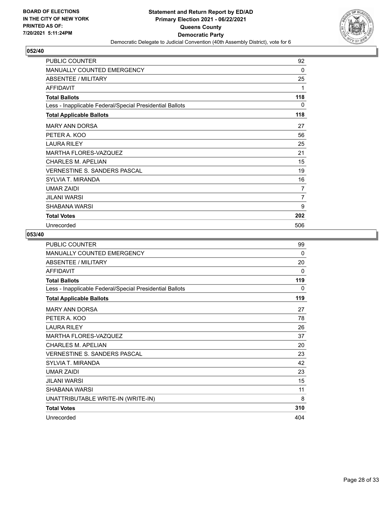

| PUBLIC COUNTER                                           | 92  |
|----------------------------------------------------------|-----|
| <b>MANUALLY COUNTED EMERGENCY</b>                        | 0   |
| ABSENTEE / MILITARY                                      | 25  |
| <b>AFFIDAVIT</b>                                         | 1   |
| <b>Total Ballots</b>                                     | 118 |
| Less - Inapplicable Federal/Special Presidential Ballots | 0   |
| <b>Total Applicable Ballots</b>                          | 118 |
| <b>MARY ANN DORSA</b>                                    | 27  |
| PETER A. KOO                                             | 56  |
| <b>LAURA RILEY</b>                                       | 25  |
| <b>MARTHA FLORES-VAZQUEZ</b>                             | 21  |
| <b>CHARLES M. APELIAN</b>                                | 15  |
| <b>VERNESTINE S. SANDERS PASCAL</b>                      | 19  |
| SYLVIA T. MIRANDA                                        | 16  |
| <b>UMAR ZAIDI</b>                                        | 7   |
| JILANI WARSI                                             | 7   |
| SHABANA WARSI                                            | 9   |
| <b>Total Votes</b>                                       | 202 |
| Unrecorded                                               | 506 |

| <b>PUBLIC COUNTER</b>                                    | 99  |
|----------------------------------------------------------|-----|
| MANUALLY COUNTED EMERGENCY                               | 0   |
| ABSENTEE / MILITARY                                      | 20  |
| <b>AFFIDAVIT</b>                                         | 0   |
| <b>Total Ballots</b>                                     | 119 |
| Less - Inapplicable Federal/Special Presidential Ballots | 0   |
| <b>Total Applicable Ballots</b>                          | 119 |
| <b>MARY ANN DORSA</b>                                    | 27  |
| PETER A. KOO                                             | 78  |
| <b>LAURA RILEY</b>                                       | 26  |
| <b>MARTHA FLORES-VAZQUEZ</b>                             | 37  |
| <b>CHARLES M. APELIAN</b>                                | 20  |
| <b>VERNESTINE S. SANDERS PASCAL</b>                      | 23  |
| SYLVIA T. MIRANDA                                        | 42  |
| <b>UMAR ZAIDI</b>                                        | 23  |
| JILANI WARSI                                             | 15  |
| SHABANA WARSI                                            | 11  |
| UNATTRIBUTABLE WRITE-IN (WRITE-IN)                       | 8   |
| <b>Total Votes</b>                                       | 310 |
| Unrecorded                                               | 404 |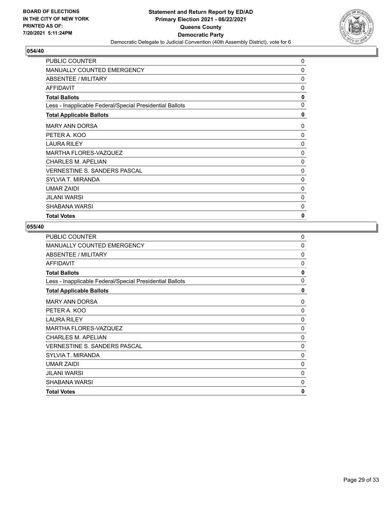

| <b>PUBLIC COUNTER</b>                                    | 0            |
|----------------------------------------------------------|--------------|
| <b>MANUALLY COUNTED EMERGENCY</b>                        | 0            |
| ABSENTEE / MILITARY                                      | 0            |
| <b>AFFIDAVIT</b>                                         | 0            |
| <b>Total Ballots</b>                                     | 0            |
| Less - Inapplicable Federal/Special Presidential Ballots | $\mathbf{0}$ |
| <b>Total Applicable Ballots</b>                          | 0            |
| <b>MARY ANN DORSA</b>                                    | 0            |
| PETER A. KOO                                             | 0            |
| <b>LAURA RILEY</b>                                       | 0            |
| <b>MARTHA FLORES-VAZQUEZ</b>                             | 0            |
| CHARLES M. APELIAN                                       | 0            |
| <b>VERNESTINE S. SANDERS PASCAL</b>                      | 0            |
| SYLVIA T. MIRANDA                                        | 0            |
| <b>UMAR ZAIDI</b>                                        | 0            |
| JILANI WARSI                                             | 0            |
| SHABANA WARSI                                            | 0            |
| <b>Total Votes</b>                                       | 0            |

| PUBLIC COUNTER                                           | 0           |
|----------------------------------------------------------|-------------|
| <b>MANUALLY COUNTED EMERGENCY</b>                        | $\mathbf 0$ |
| ABSENTEE / MILITARY                                      | $\Omega$    |
| <b>AFFIDAVIT</b>                                         | $\Omega$    |
| <b>Total Ballots</b>                                     | 0           |
| Less - Inapplicable Federal/Special Presidential Ballots | $\Omega$    |
| <b>Total Applicable Ballots</b>                          | 0           |
| <b>MARY ANN DORSA</b>                                    | 0           |
| PETER A. KOO                                             | 0           |
| <b>LAURA RILEY</b>                                       | $\Omega$    |
| MARTHA FLORES-VAZQUEZ                                    | $\Omega$    |
| <b>CHARLES M. APELIAN</b>                                | $\Omega$    |
| <b>VERNESTINE S. SANDERS PASCAL</b>                      | 0           |
| SYLVIA T. MIRANDA                                        | 0           |
| <b>UMAR ZAIDI</b>                                        | $\mathbf 0$ |
| <b>JILANI WARSI</b>                                      | $\Omega$    |
| SHABANA WARSI                                            | $\Omega$    |
| <b>Total Votes</b>                                       | 0           |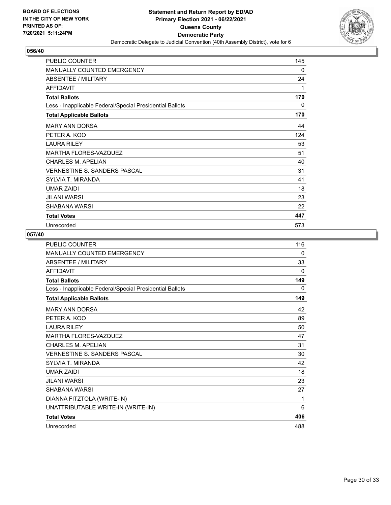

| PUBLIC COUNTER                                           | 145 |
|----------------------------------------------------------|-----|
| <b>MANUALLY COUNTED EMERGENCY</b>                        | 0   |
| ABSENTEE / MILITARY                                      | 24  |
| <b>AFFIDAVIT</b>                                         | 1   |
| <b>Total Ballots</b>                                     | 170 |
| Less - Inapplicable Federal/Special Presidential Ballots | 0   |
| <b>Total Applicable Ballots</b>                          | 170 |
| <b>MARY ANN DORSA</b>                                    | 44  |
| PETER A. KOO                                             | 124 |
| <b>LAURA RILEY</b>                                       | 53  |
| <b>MARTHA FLORES-VAZQUEZ</b>                             | 51  |
| CHARLES M. APELIAN                                       | 40  |
| <b>VERNESTINE S. SANDERS PASCAL</b>                      | 31  |
| SYLVIA T. MIRANDA                                        | 41  |
| <b>UMAR ZAIDI</b>                                        | 18  |
| JILANI WARSI                                             | 23  |
| SHABANA WARSI                                            | 22  |
| <b>Total Votes</b>                                       | 447 |
| Unrecorded                                               | 573 |

| PUBLIC COUNTER                                           | 116      |
|----------------------------------------------------------|----------|
| MANUALLY COUNTED EMERGENCY                               | 0        |
| <b>ABSENTEE / MILITARY</b>                               | 33       |
| <b>AFFIDAVIT</b>                                         | $\Omega$ |
| <b>Total Ballots</b>                                     | 149      |
| Less - Inapplicable Federal/Special Presidential Ballots | 0        |
| <b>Total Applicable Ballots</b>                          | 149      |
| <b>MARY ANN DORSA</b>                                    | 42       |
| PETER A. KOO                                             | 89       |
| <b>LAURA RILEY</b>                                       | 50       |
| MARTHA FLORES-VAZQUEZ                                    | 47       |
| CHARI FS M. APFI IAN                                     | 31       |
| VERNESTINE S. SANDERS PASCAL                             | 30       |
| <b>SYLVIA T. MIRANDA</b>                                 | 42       |
| <b>UMAR ZAIDI</b>                                        | 18       |
| JILANI WARSI                                             | 23       |
| SHABANA WARSI                                            | 27       |
| DIANNA FITZTOLA (WRITE-IN)                               | 1        |
| UNATTRIBUTABLE WRITE-IN (WRITE-IN)                       | 6        |
| <b>Total Votes</b>                                       | 406      |
| Unrecorded                                               | 488      |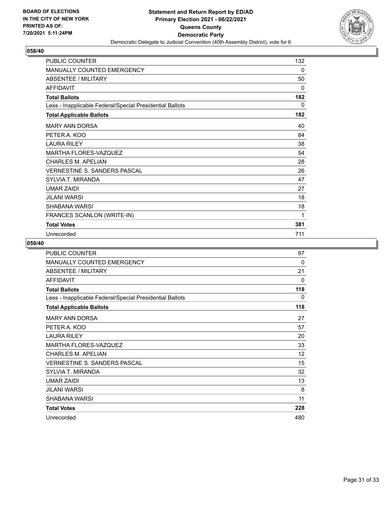

| <b>PUBLIC COUNTER</b>                                    | 132 |
|----------------------------------------------------------|-----|
| MANUALLY COUNTED EMERGENCY                               | 0   |
| <b>ABSENTEE / MILITARY</b>                               | 50  |
| <b>AFFIDAVIT</b>                                         | 0   |
| <b>Total Ballots</b>                                     | 182 |
| Less - Inapplicable Federal/Special Presidential Ballots | 0   |
| <b>Total Applicable Ballots</b>                          | 182 |
| <b>MARY ANN DORSA</b>                                    | 40  |
| PETER A. KOO                                             | 84  |
| <b>LAURA RILEY</b>                                       | 38  |
| <b>MARTHA FLORES-VAZQUEZ</b>                             | 54  |
| <b>CHARLES M. APELIAN</b>                                | 28  |
| <b>VERNESTINE S. SANDERS PASCAL</b>                      | 26  |
| SYLVIA T. MIRANDA                                        | 47  |
| <b>UMAR ZAIDI</b>                                        | 27  |
| JILANI WARSI                                             | 18  |
| <b>SHABANA WARSI</b>                                     | 18  |
| FRANCES SCANLON (WRITE-IN)                               | 1   |
| <b>Total Votes</b>                                       | 381 |
| Unrecorded                                               | 711 |

| <b>PUBLIC COUNTER</b>                                    | 97  |
|----------------------------------------------------------|-----|
| <b>MANUALLY COUNTED EMERGENCY</b>                        | 0   |
| <b>ABSENTEE / MILITARY</b>                               | 21  |
| <b>AFFIDAVIT</b>                                         | 0   |
| <b>Total Ballots</b>                                     | 118 |
| Less - Inapplicable Federal/Special Presidential Ballots | 0   |
| <b>Total Applicable Ballots</b>                          | 118 |
| <b>MARY ANN DORSA</b>                                    | 27  |
| PETER A. KOO                                             | 57  |
| <b>LAURA RILEY</b>                                       | 20  |
| MARTHA FLORES-VAZQUEZ                                    | 33  |
| <b>CHARLES M. APELIAN</b>                                | 12  |
| <b>VERNESTINE S. SANDERS PASCAL</b>                      | 15  |
| SYLVIA T. MIRANDA                                        | 32  |
| <b>UMAR ZAIDI</b>                                        | 13  |
| <b>JILANI WARSI</b>                                      | 8   |
| SHABANA WARSI                                            | 11  |
| <b>Total Votes</b>                                       | 228 |
| Unrecorded                                               | 480 |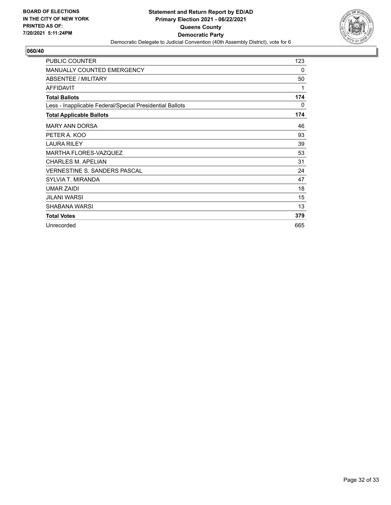

| <b>PUBLIC COUNTER</b>                                    | 123 |
|----------------------------------------------------------|-----|
| <b>MANUALLY COUNTED EMERGENCY</b>                        | 0   |
| ABSENTEE / MILITARY                                      | 50  |
| <b>AFFIDAVIT</b>                                         | 1   |
| <b>Total Ballots</b>                                     | 174 |
| Less - Inapplicable Federal/Special Presidential Ballots | 0   |
| <b>Total Applicable Ballots</b>                          | 174 |
| <b>MARY ANN DORSA</b>                                    | 46  |
| PETER A. KOO                                             | 93  |
| <b>LAURA RILEY</b>                                       | 39  |
| <b>MARTHA FLORES-VAZQUEZ</b>                             | 53  |
| <b>CHARLES M. APELIAN</b>                                | 31  |
| <b>VERNESTINE S. SANDERS PASCAL</b>                      | 24  |
| SYLVIA T. MIRANDA                                        | 47  |
| <b>UMAR ZAIDI</b>                                        | 18  |
| <b>JILANI WARSI</b>                                      | 15  |
| SHABANA WARSI                                            | 13  |
| <b>Total Votes</b>                                       | 379 |
| Unrecorded                                               | 665 |